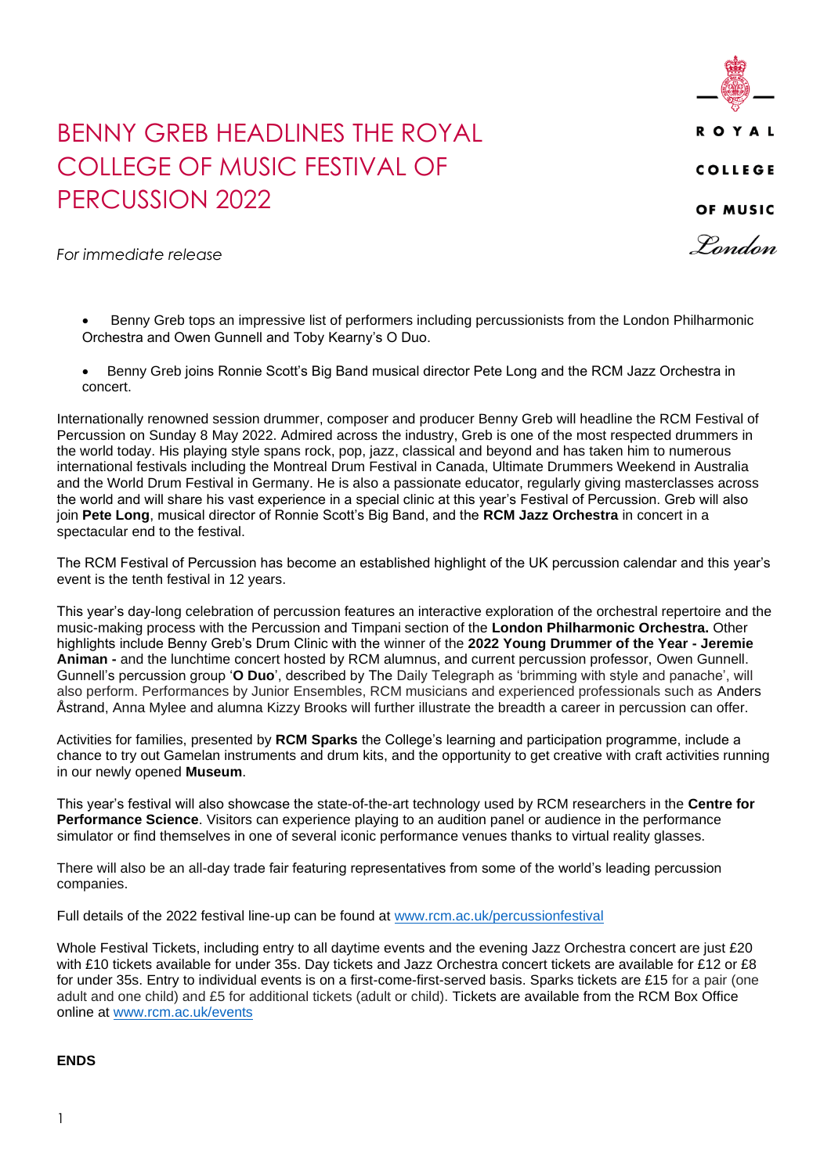

## BENNY GREB HEADLINES THE ROYAL COLLEGE OF MUSIC FESTIVAL OF PERCUSSION 2022

*For immediate release*

- Benny Greb tops an impressive list of performers including percussionists from the London Philharmonic Orchestra and Owen Gunnell and Toby Kearny's O Duo.
- Benny Greb joins Ronnie Scott's Big Band musical director Pete Long and the RCM Jazz Orchestra in concert.

Internationally renowned session drummer, composer and producer Benny Greb will headline the RCM Festival of Percussion on Sunday 8 May 2022. Admired across the industry, Greb is one of the most respected drummers in the world today. His playing style spans rock, pop, jazz, classical and beyond and has taken him to numerous international festivals including the Montreal Drum Festival in Canada, Ultimate Drummers Weekend in Australia and the World Drum Festival in Germany. He is also a passionate educator, regularly giving masterclasses across the world and will share his vast experience in a special clinic at this year's Festival of Percussion. Greb will also join **Pete Long**, musical director of Ronnie Scott's Big Band, and the **RCM Jazz Orchestra** in concert in a spectacular end to the festival.

The RCM Festival of Percussion has become an established highlight of the UK percussion calendar and this year's event is the tenth festival in 12 years.

This year's day-long celebration of percussion features an interactive exploration of the orchestral repertoire and the music-making process with the Percussion and Timpani section of the **London Philharmonic Orchestra.** Other highlights include Benny Greb's Drum Clinic with the winner of the **2022 Young Drummer of the Year - Jeremie Animan -** and the lunchtime concert hosted by RCM alumnus, and current percussion professor, Owen Gunnell. Gunnell's percussion group '**O Duo**', described by The Daily Telegraph as 'brimming with style and panache', will also perform. Performances by Junior Ensembles, RCM musicians and experienced professionals such as Anders Åstrand, Anna Mylee and alumna Kizzy Brooks will further illustrate the breadth a career in percussion can offer.

Activities for families, presented by **RCM Sparks** the College's learning and participation programme, include a chance to try out Gamelan instruments and drum kits, and the opportunity to get creative with craft activities running in our newly opened **Museum**.

This year's festival will also showcase the state-of-the-art technology used by RCM researchers in the **Centre for Performance Science**. Visitors can experience playing to an audition panel or audience in the performance simulator or find themselves in one of several iconic performance venues thanks to virtual reality glasses.

There will also be an all-day trade fair featuring representatives from some of the world's leading percussion companies.

Full details of the 2022 festival line-up can be found at [www.rcm.ac.uk/percussionfestival](http://www.rcm.ac.uk/percussionfestival)

Whole Festival Tickets, including entry to all daytime events and the evening Jazz Orchestra concert are just £20 with £10 tickets available for under 35s. Day tickets and Jazz Orchestra concert tickets are available for £12 or £8 for under 35s. Entry to individual events is on a first-come-first-served basis. Sparks tickets are £15 for a pair (one adult and one child) and £5 for additional tickets (adult or child). Tickets are available from the RCM Box Office online at [www.rcm.ac.uk/events](http://www.rcm.ac.uk/events)

## **ENDS**